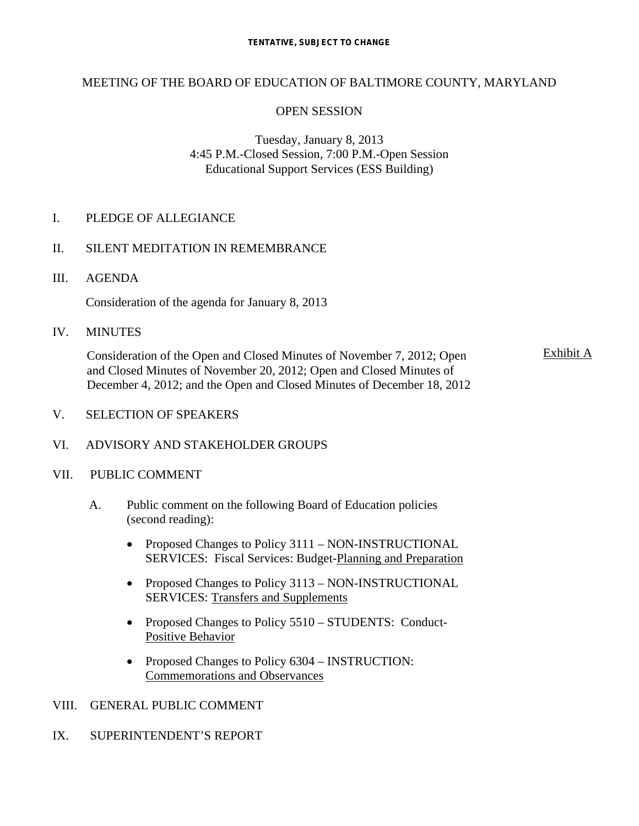# MEETING OF THE BOARD OF EDUCATION OF BALTIMORE COUNTY, MARYLAND

# OPEN SESSION

# Tuesday, January 8, 2013 4:45 P.M.-Closed Session, 7:00 P.M.-Open Session Educational Support Services (ESS Building)

## I. PLEDGE OF ALLEGIANCE

# II. SILENT MEDITATION IN REMEMBRANCE

III. AGENDA

Consideration of the agenda for January 8, 2013

IV. MINUTES

Consideration of the Open and Closed Minutes of November 7, 2012; Open and Closed Minutes of November 20, 2012; Open and Closed Minutes of December 4, 2012; and the Open and Closed Minutes of December 18, 2012 Exhibit A

V. SELECTION OF SPEAKERS

## VI. ADVISORY AND STAKEHOLDER GROUPS

## VII. PUBLIC COMMENT

- A. Public comment on the following Board of Education policies (second reading):
	- Proposed Changes to Policy 3111 NON-INSTRUCTIONAL SERVICES: Fiscal Services: Budget-Planning and Preparation
	- Proposed Changes to Policy 3113 NON-INSTRUCTIONAL SERVICES: Transfers and Supplements
	- Proposed Changes to Policy 5510 STUDENTS: Conduct-Positive Behavior
	- Proposed Changes to Policy 6304 INSTRUCTION: Commemorations and Observances

# VIII. GENERAL PUBLIC COMMENT

IX. SUPERINTENDENT'S REPORT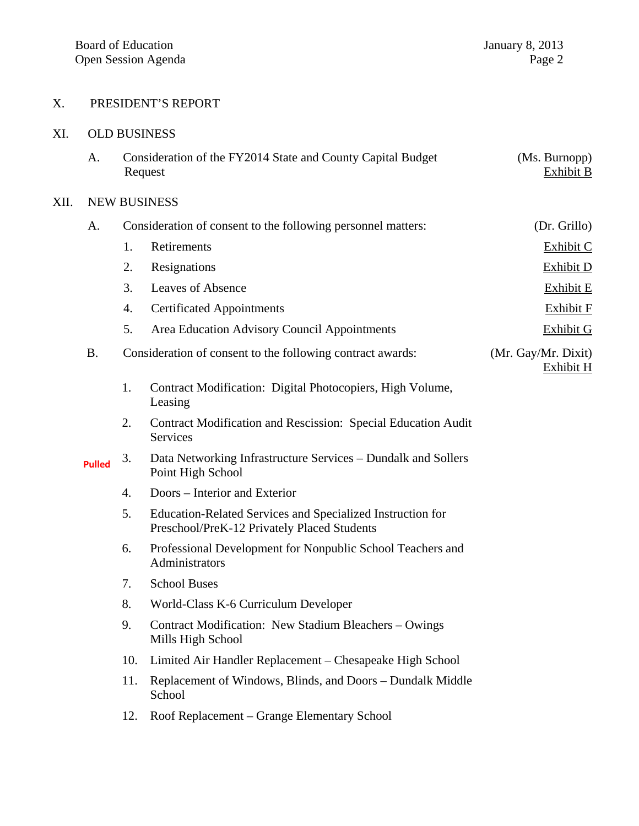# X. PRESIDENT'S REPORT

#### XI. OLD BUSINESS

| Consideration of the FY2014 State and County Capital Budget | (Ms. Burnopp) |
|-------------------------------------------------------------|---------------|
| Request                                                     | Exhibit B     |

#### XII. NEW BUSINESS

| А.        | Consideration of consent to the following personnel matters: |                                                           | (Dr. Grillo)                     |
|-----------|--------------------------------------------------------------|-----------------------------------------------------------|----------------------------------|
|           |                                                              | Retirements                                               | Exhibit C                        |
|           | 2.                                                           | Resignations                                              | Exhibit D                        |
|           | 3.                                                           | Leaves of Absence                                         | Exhibit E                        |
|           | 4.                                                           | <b>Certificated Appointments</b>                          | Exhibit F                        |
|           | 5.                                                           | Area Education Advisory Council Appointments              | Exhibit G                        |
| <b>B.</b> | Consideration of consent to the following contract awards:   |                                                           | (Mr. Gay/Mr. Dixit)<br>Exhibit H |
|           | 1.                                                           | Contract Modification: Digital Photocopiers, High Volume, |                                  |

- Leasing
- 2. Contract Modification and Rescission: Special Education Audit **Services**
- 3. Data Networking Infrastructure Services Dundalk and Sollers Point High School **Pulled**
	- 4. Doors Interior and Exterior
	- 5. Education-Related Services and Specialized Instruction for Preschool/PreK-12 Privately Placed Students
	- 6. Professional Development for Nonpublic School Teachers and Administrators
	- 7. School Buses
	- 8. World-Class K-6 Curriculum Developer
	- 9. Contract Modification: New Stadium Bleachers Owings Mills High School
	- 10. Limited Air Handler Replacement Chesapeake High School
	- 11. Replacement of Windows, Blinds, and Doors Dundalk Middle School
	- 12. Roof Replacement Grange Elementary School